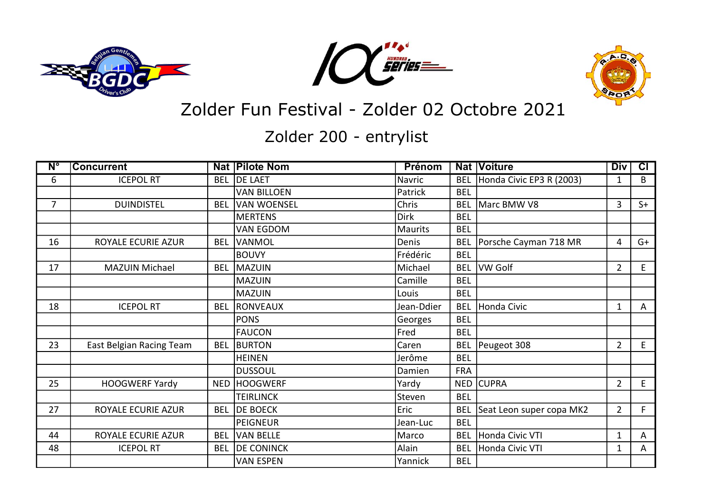





Zolder Fun Festival - Zolder 02 Octobre 2021

Zolder 200 - entrylist

| $N^{\circ}$    | <b>Concurrent</b>        |            | Nat   Pilote Nom   | Prénom         |            | <b>Nat Voiture</b>       | <b>Div</b>     | $\overline{c}$ |
|----------------|--------------------------|------------|--------------------|----------------|------------|--------------------------|----------------|----------------|
| 6              | <b>ICEPOL RT</b>         | <b>BEL</b> | <b>DE LAET</b>     | Navric         | <b>BEL</b> | Honda Civic EP3 R (2003) | 1              | B              |
|                |                          |            | <b>VAN BILLOEN</b> | Patrick        | <b>BEL</b> |                          |                |                |
| $\overline{7}$ | <b>DUINDISTEL</b>        | <b>BEL</b> | <b>VAN WOENSEL</b> | Chris          | <b>BEL</b> | Marc BMW V8              | 3              | $S+$           |
|                |                          |            | <b>MERTENS</b>     | <b>Dirk</b>    | <b>BEL</b> |                          |                |                |
|                |                          |            | VAN EGDOM          | <b>Maurits</b> | <b>BEL</b> |                          |                |                |
| 16             | ROYALE ECURIE AZUR       | <b>BEL</b> | VANMOL             | Denis          | <b>BEL</b> | Porsche Cayman 718 MR    | 4              | $G+$           |
|                |                          |            | <b>BOUVY</b>       | Frédéric       | <b>BEL</b> |                          |                |                |
| 17             | <b>MAZUIN Michael</b>    | <b>BEL</b> | MAZUIN             | Michael        | <b>BEL</b> | VW Golf                  | $\overline{2}$ | E              |
|                |                          |            | <b>MAZUIN</b>      | Camille        | <b>BEL</b> |                          |                |                |
|                |                          |            | <b>MAZUIN</b>      | Louis          | <b>BEL</b> |                          |                |                |
| 18             | <b>ICEPOL RT</b>         | <b>BEL</b> | RONVEAUX           | Jean-Ddier     | <b>BEL</b> | Honda Civic              | $\mathbf 1$    | A              |
|                |                          |            | <b>PONS</b>        | Georges        | <b>BEL</b> |                          |                |                |
|                |                          |            | <b>FAUCON</b>      | Fred           | <b>BEL</b> |                          |                |                |
| 23             | East Belgian Racing Team | <b>BEL</b> | <b>BURTON</b>      | Caren          | <b>BEL</b> | Peugeot 308              | $\overline{2}$ | E              |
|                |                          |            | <b>HEINEN</b>      | Jerôme         | <b>BEL</b> |                          |                |                |
|                |                          |            | <b>DUSSOUL</b>     | Damien         | <b>FRA</b> |                          |                |                |
| 25             | <b>HOOGWERF Yardy</b>    | <b>NED</b> | <b>HOOGWERF</b>    | Yardy          |            | NED CUPRA                | $\overline{2}$ | E              |
|                |                          |            | <b>TEIRLINCK</b>   | Steven         | <b>BEL</b> |                          |                |                |
| 27             | ROYALE ECURIE AZUR       | <b>BEL</b> | <b>DE BOECK</b>    | Eric           | <b>BEL</b> | Seat Leon super copa MK2 | $\overline{2}$ | F              |
|                |                          |            | <b>PEIGNEUR</b>    | Jean-Luc       | <b>BEL</b> |                          |                |                |
| 44             | ROYALE ECURIE AZUR       | <b>BEL</b> | VAN BELLE          | Marco          | <b>BEL</b> | Honda Civic VTI          | $\mathbf 1$    | A              |
| 48             | <b>ICEPOL RT</b>         | <b>BEL</b> | <b>DE CONINCK</b>  | Alain          | <b>BEL</b> | Honda Civic VTI          | $\mathbf{1}$   | A              |
|                |                          |            | <b>VAN ESPEN</b>   | Yannick        | <b>BEL</b> |                          |                |                |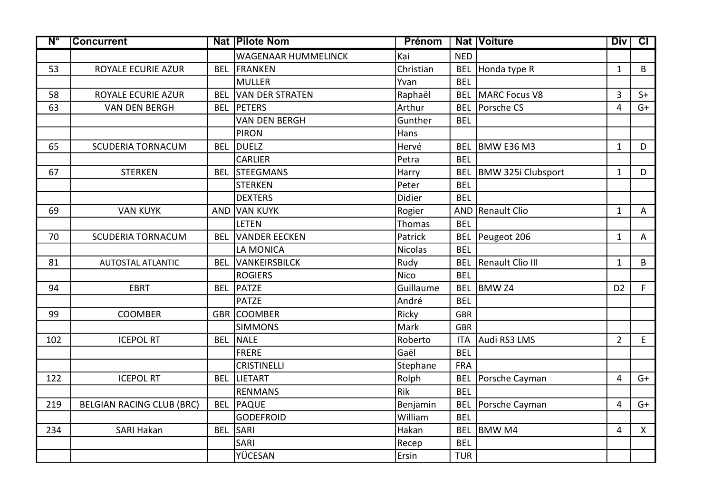| $\overline{\mathsf{N}^{\circ}}$ | <b>Concurrent</b>                |            | <b>Nat Pilote Nom</b>      | <b>Prénom</b>  |            | <b>Nat Voiture</b>       | <b>Div</b>     | $\overline{c\Gamma}$ |
|---------------------------------|----------------------------------|------------|----------------------------|----------------|------------|--------------------------|----------------|----------------------|
|                                 |                                  |            | <b>WAGENAAR HUMMELINCK</b> | Kai            | <b>NED</b> |                          |                |                      |
| 53                              | ROYALE ECURIE AZUR               |            | <b>BEL FRANKEN</b>         | Christian      | <b>BEL</b> | Honda type R             | $\mathbf{1}$   | B                    |
|                                 |                                  |            | <b>MULLER</b>              | Yvan           | <b>BEL</b> |                          |                |                      |
| 58                              | ROYALE ECURIE AZUR               | <b>BEL</b> | VAN DER STRATEN            | Raphaël        |            | <b>BEL MARC Focus V8</b> | $\overline{3}$ | $S+$                 |
| 63                              | <b>VAN DEN BERGH</b>             | <b>BEL</b> | <b>PETERS</b>              | Arthur         |            | BEL Porsche CS           | $\overline{4}$ | $G+$                 |
|                                 |                                  |            | <b>VAN DEN BERGH</b>       | Gunther        | <b>BEL</b> |                          |                |                      |
|                                 |                                  |            | <b>PIRON</b>               | Hans           |            |                          |                |                      |
| 65                              | <b>SCUDERIA TORNACUM</b>         | <b>BEL</b> | DUELZ                      | Hervé          |            | BEL BMW E36 M3           | $\mathbf{1}$   | D                    |
|                                 |                                  |            | <b>CARLIER</b>             | Petra          | <b>BEL</b> |                          |                |                      |
| 67                              | <b>STERKEN</b>                   | <b>BEL</b> | <b>STEEGMANS</b>           | Harry          | <b>BEL</b> | BMW 325i Clubsport       | $\mathbf{1}$   | D                    |
|                                 |                                  |            | <b>STERKEN</b>             | Peter          | <b>BEL</b> |                          |                |                      |
|                                 |                                  |            | <b>DEXTERS</b>             | Didier         | <b>BEL</b> |                          |                |                      |
| 69                              | <b>VAN KUYK</b>                  | AND        | VAN KUYK                   | Rogier         |            | AND Renault Clio         | $\mathbf{1}$   | A                    |
|                                 |                                  |            | <b>LETEN</b>               | Thomas         | <b>BEL</b> |                          |                |                      |
| 70                              | <b>SCUDERIA TORNACUM</b>         | <b>BEL</b> | <b>VANDER EECKEN</b>       | Patrick        |            | BEL Peugeot 206          | $\mathbf{1}$   | A                    |
|                                 |                                  |            | LA MONICA                  | <b>Nicolas</b> | <b>BEL</b> |                          |                |                      |
| 81                              | <b>AUTOSTAL ATLANTIC</b>         | <b>BEL</b> | VANKEIRSBILCK              | Rudy           | <b>BEL</b> | Renault Clio III         | $\mathbf{1}$   | B                    |
|                                 |                                  |            | <b>ROGIERS</b>             | <b>Nico</b>    | <b>BEL</b> |                          |                |                      |
| 94                              | <b>EBRT</b>                      | <b>BEL</b> | PATZE                      | Guillaume      | <b>BEL</b> | <b>BMW Z4</b>            | D <sub>2</sub> | F                    |
|                                 |                                  |            | <b>PATZE</b>               | André          | <b>BEL</b> |                          |                |                      |
| 99                              | <b>COOMBER</b>                   |            | <b>GBR COOMBER</b>         | Ricky          | <b>GBR</b> |                          |                |                      |
|                                 |                                  |            | <b>SIMMONS</b>             | Mark           | <b>GBR</b> |                          |                |                      |
| 102                             | <b>ICEPOL RT</b>                 | <b>BEL</b> | NALE                       | Roberto        | <b>ITA</b> | Audi RS3 LMS             | $\overline{2}$ | $\mathsf E$          |
|                                 |                                  |            | <b>FRERE</b>               | Gaël           | <b>BEL</b> |                          |                |                      |
|                                 |                                  |            | <b>CRISTINELLI</b>         | Stephane       | <b>FRA</b> |                          |                |                      |
| 122                             | <b>ICEPOL RT</b>                 | <b>BEL</b> | LIETART                    | Rolph          | <b>BEL</b> | Porsche Cayman           | $\overline{4}$ | $G+$                 |
|                                 |                                  |            | <b>RENMANS</b>             | Rik            | <b>BEL</b> |                          |                |                      |
| 219                             | <b>BELGIAN RACING CLUB (BRC)</b> | <b>BEL</b> | PAQUE                      | Benjamin       | <b>BEL</b> | Porsche Cayman           | $\overline{4}$ | $G+$                 |
|                                 |                                  |            | <b>GODEFROID</b>           | William        | <b>BEL</b> |                          |                |                      |
| 234                             | <b>SARI Hakan</b>                | <b>BEL</b> | SARI                       | Hakan          | <b>BEL</b> | BMW M4                   | $\overline{4}$ | $\mathsf{X}$         |
|                                 |                                  |            | SARI                       | Recep          | <b>BEL</b> |                          |                |                      |
|                                 |                                  |            | YÜCESAN                    | Ersin          | <b>TUR</b> |                          |                |                      |